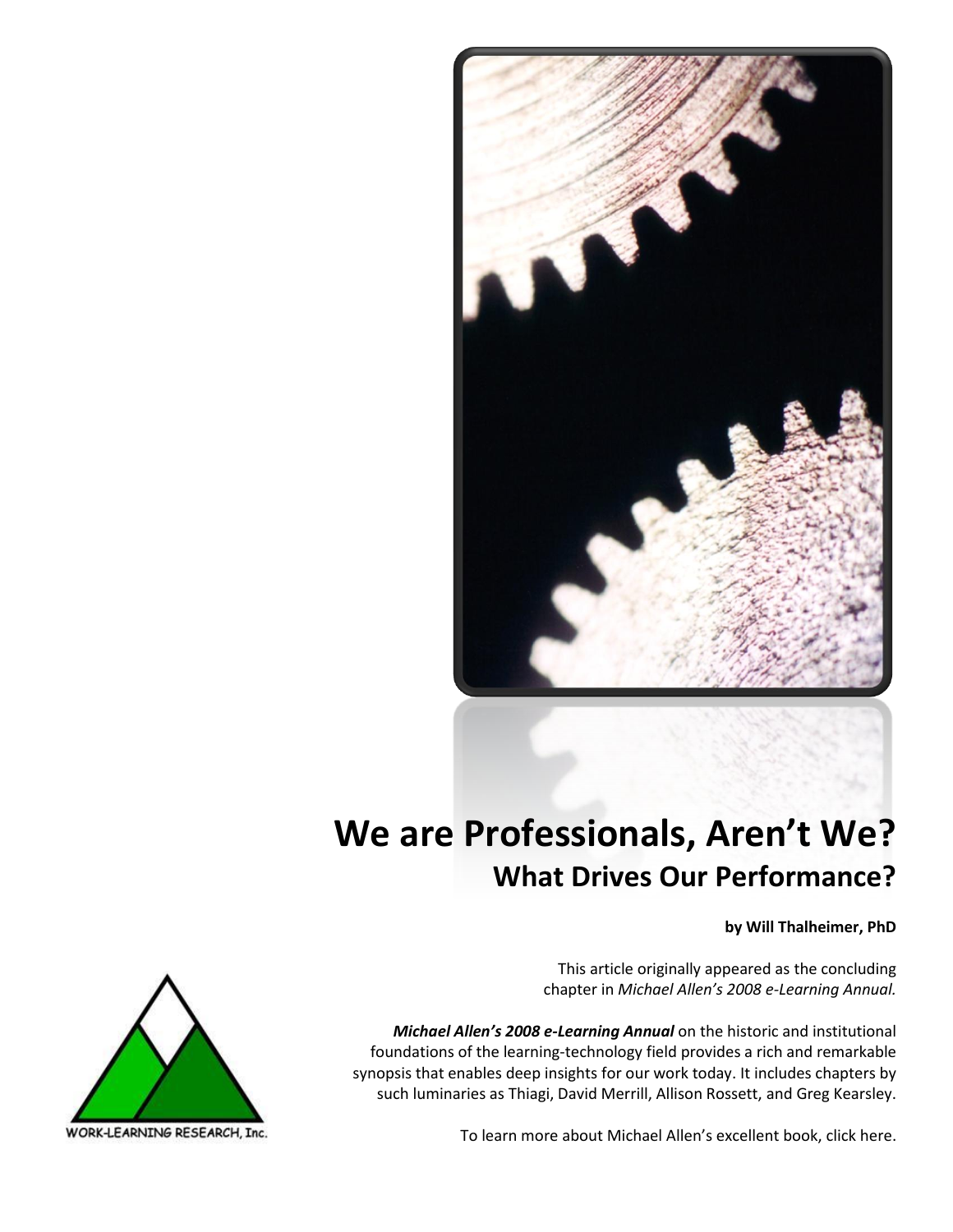

# **We are Professionals, Aren't We? What Drives Our Performance?**

**by Will Thalheimer, PhD**

This article originally appeared as the concluding chapter in *Michael Allen's 2008 e-Learning Annual.*

*Michael Allen's 2008 e-Learning Annual* on the historic and institutional foundations of the learning-technology field provides a rich and remarkable synopsis that enables deep insights for our work today. It includes chapters by such luminaries as Thiagi, David Merrill, Allison Rossett, and Greg Kearsley.



To learn more about Michael Allen's excellent book, [click here.](http://www.amazon.com/gp/product/0787987433?ie=UTF8&tag=wwwworklearni-20&linkCode=xm2&camp=1789&creativeASIN=0787987433) 

WORK-LEARNING RESEARCH, Inc.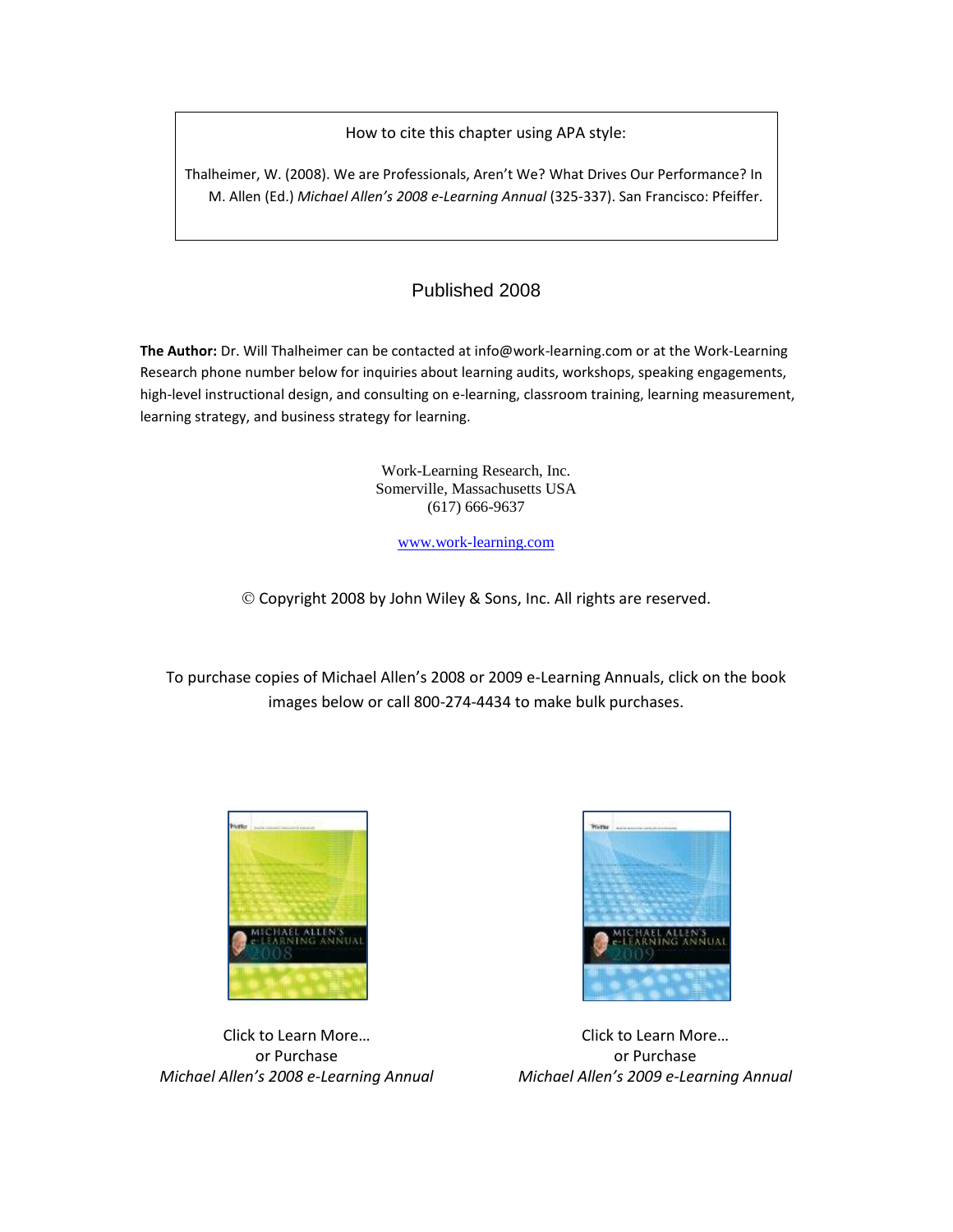How to cite this chapter using APA style:

Thalheimer, W. (2008). We are Professionals, Aren't We? What Drives Our Performance? In M. Allen (Ed.) *Michael Allen's 2008 e-Learning Annual* (325-337). San Francisco: Pfeiffer.

### Published 2008

**The Author:** Dr. Will Thalheimer can be contacted at info@work-learning.com or at the Work-Learning Research phone number below for inquiries about learning audits, workshops, speaking engagements, high-level instructional design, and consulting on e-learning, classroom training, learning measurement, learning strategy, and business strategy for learning.

> Work-Learning Research, Inc. Somerville, Massachusetts USA (617) 666-9637

> > [www.work-learning.com](http://www.work-learning.com/)

Copyright 2008 by John Wiley & Sons, Inc. All rights are reserved.

To purchase copies of Michael Allen's 2008 or 2009 e-Learning Annuals, click on the book images below or call 800-274-4434 to make bulk purchases.



Click to Learn More… or Purchase *Michael Allen'[s 2008 e-Learning Annual](http://www.amazon.com/gp/product/0787987433?ie=UTF8&tag=wwwworklearni-20&linkCode=xm2&camp=1789&creativeASIN=0787987433)*



[<img src="http://www.assoc-amazon.com/e/ir?t=wwwworklearni-20&l=as2&o=1&a'>Click to Learn More](<a href="http://www.amazon.com/gp/product/0470371455?ie=UTF8&tag=wwwworklearni-20&linkCode=as2&camp=1789&creative=9325&creativeASIN=0470371455">Michael Allen)… or Purchase *Michael Allen's 2009 e-Learning Annual*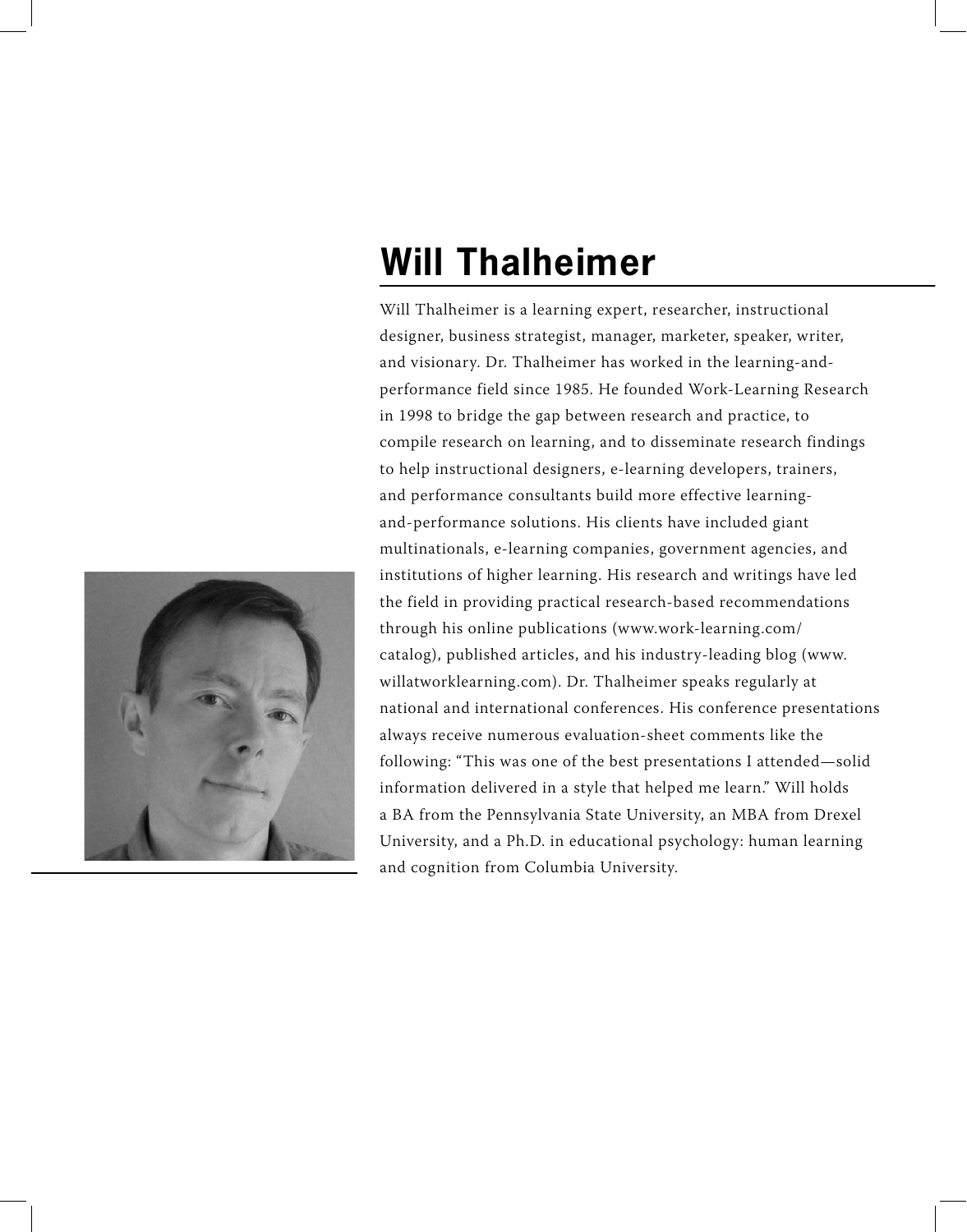# **Will Thalheimer**

Will Thalheimer is a learning expert, researcher, instructional designer, business strategist, manager, marketer, speaker, writer, and visionary. Dr. Thalheimer has worked in the learning-andperformance field since 1985. He founded Work-Learning Research in 1998 to bridge the gap between research and practice, to compile research on learning, and to disseminate research findings to help instructional designers, e-learning developers, trainers, and performance consultants build more effective learningand-performance solutions. His clients have included giant multinationals, e-learning companies, government agencies, and institutions of higher learning. His research and writings have led the field in providing practical research-based recommendations through his online publications (www.work-learning.com/ catalog), published articles, and his industry-leading blog (www. willatworklearning.com). Dr. Thalheimer speaks regularly at national and international conferences. His conference presentations always receive numerous evaluation-sheet comments like the following: "This was one of the best presentations I attended—solid information delivered in a style that helped me learn." Will holds a BA from the Pennsylvania State University, an MBA from Drexel University, and a Ph.D. in educational psychology: human learning and cognition from Columbia University.

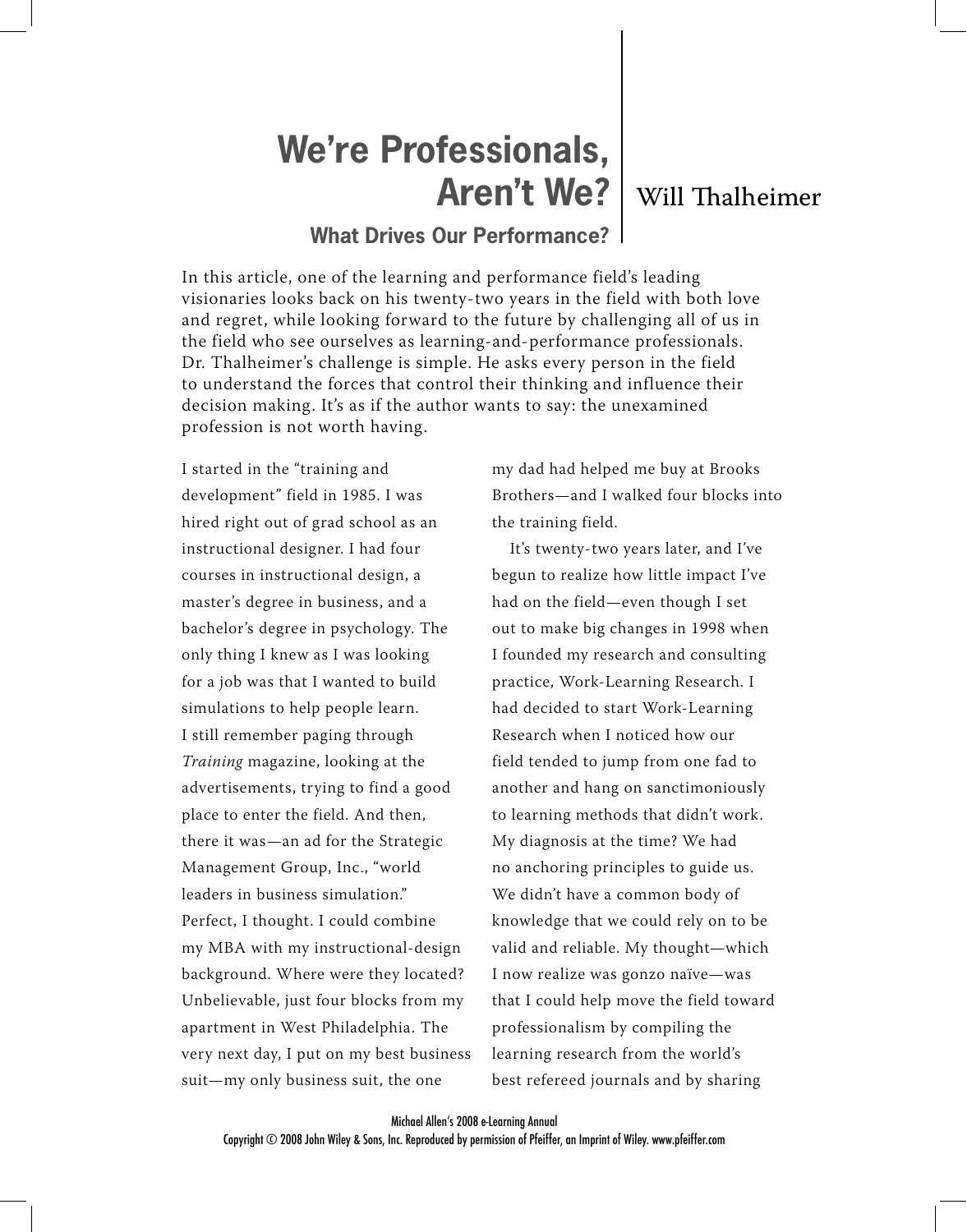# **We're Professionals, Aren't We?** | Will Thalheimer

### **What Drives Our Performance?**

In this article, one of the learning and performance field's leading visionaries looks back on his twenty-two years in the field with both love and regret, while looking forward to the future by challenging all of us in the field who see ourselves as learning-and-performance professionals. Dr. Thalheimer's challenge is simple. He asks every person in the field to understand the forces that control their thinking and influence their decision making. It's as if the author wants to say: the unexamined profession is not worth having.

I started in the "training and development" field in 1985. I was hired right out of grad school as an instructional designer. I had four courses in instructional design, a master's degree in business, and a bachelor's degree in psychology. The only thing I knew as I was looking for a job was that I wanted to build simulations to help people learn. I still remember paging through Training magazine, looking at the advertisements, trying to find a good place to enter the field. And then, there it was—an ad for the Strategic Management Group, Inc., "world leaders in business simulation." Perfect, I thought. I could combine my MBA with my instructional-design background. Where were they located? Unbelievable, just four blocks from my apartment in West Philadelphia. The very next day, I put on my best business suit—my only business suit, the one

my dad had helped me buy at Brooks Brothers—and I walked four blocks into the training field.

It's twenty-two years later, and I've begun to realize how little impact I've had on the field—even though I set out to make big changes in 1998 when I founded my research and consulting practice, Work-Learning Research. I had decided to start Work-Learning Research when I noticed how our field tended to jump from one fad to another and hang on sanctimoniously to learning methods that didn't work. My diagnosis at the time? We had no anchoring principles to guide us. We didn't have a common body of knowledge that we could rely on to be valid and reliable. My thought—which I now realize was gonzo naïve—was that I could help move the field toward professionalism by compiling the learning research from the world's best refereed journals and by sharing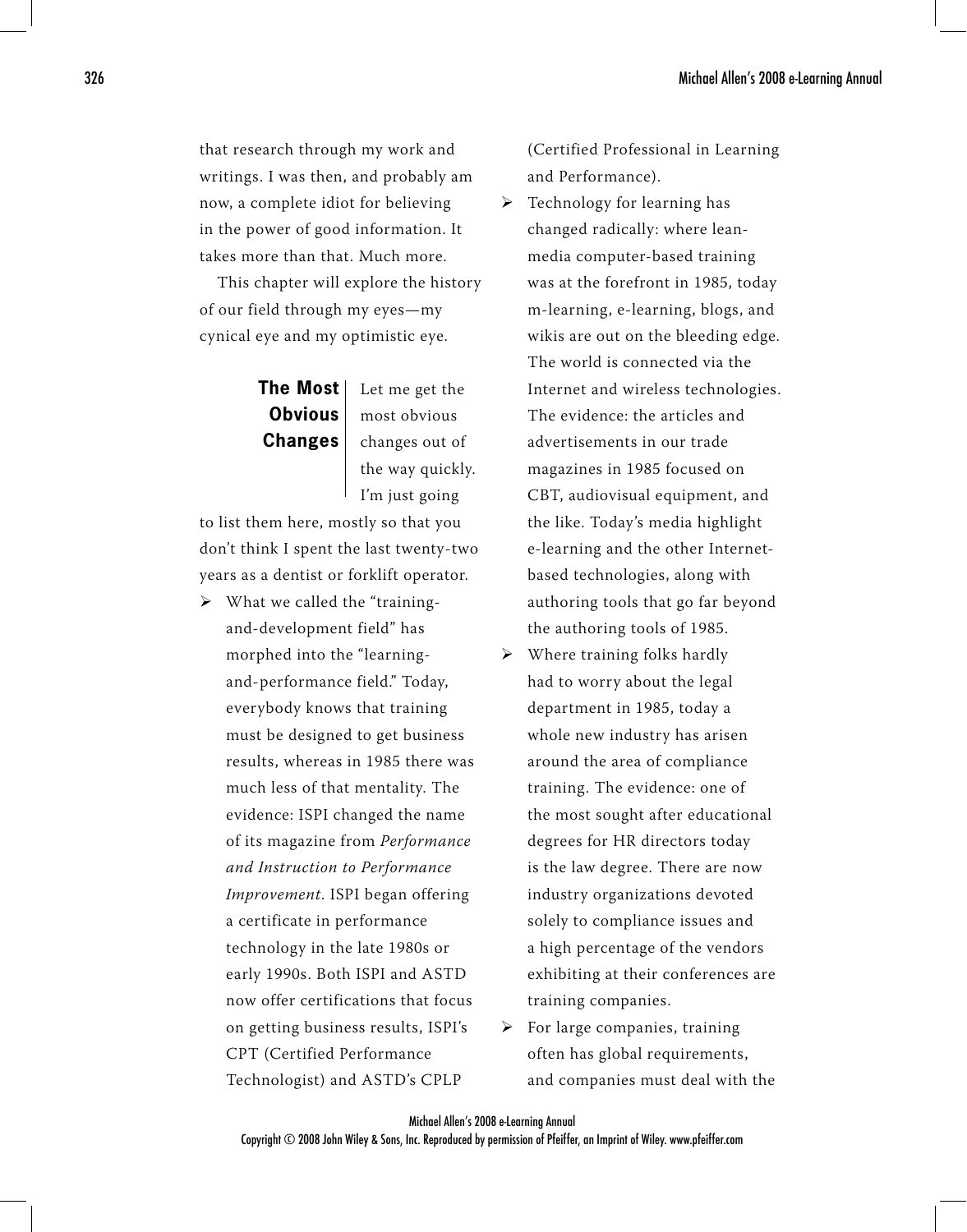that research through my work and writings. I was then, and probably am now, a complete idiot for believing in the power of good information. It takes more than that. Much more.

This chapter will explore the history of our field through my eyes—my cynical eye and my optimistic eye.

# **The Most Obvious Changes**

Let me get the most obvious changes out of the way quickly. I'm just going

to list them here, mostly so that you don't think I spent the last twenty-two years as a dentist or forklift operator.

> What we called the "trainingand-development field" has morphed into the "learningand-performance field." Today, everybody knows that training must be designed to get business results, whereas in 1985 there was much less of that mentality. The evidence: ISPI changed the name of its magazine from Performance and Instruction to Performance Improvement. ISPI began offering a certificate in performance technology in the late 1980s or early 1990s. Both ISPI and ASTD now offer certifications that focus on getting business results, ISPI's CPT (Certified Performance Technologist) and ASTD's CPLP

(Certified Professional in Learning and Performance).

- > Technology for learning has changed radically: where leanmedia computer-based training was at the forefront in 1985, today m-learning, e-learning, blogs, and wikis are out on the bleeding edge. The world is connected via the Internet and wireless technologies. The evidence: the articles and advertisements in our trade magazines in 1985 focused on CBT, audiovisual equipment, and the like. Today's media highlight e-learning and the other Internetbased technologies, along with authoring tools that go far beyond the authoring tools of 1985.
- $\triangleright$  Where training folks hardly had to worry about the legal department in 1985, today a whole new industry has arisen around the area of compliance training. The evidence: one of the most sought after educational degrees for HR directors today is the law degree. There are now industry organizations devoted solely to compliance issues and a high percentage of the vendors exhibiting at their conferences are training companies.
- $\triangleright$  For large companies, training often has global requirements, and companies must deal with the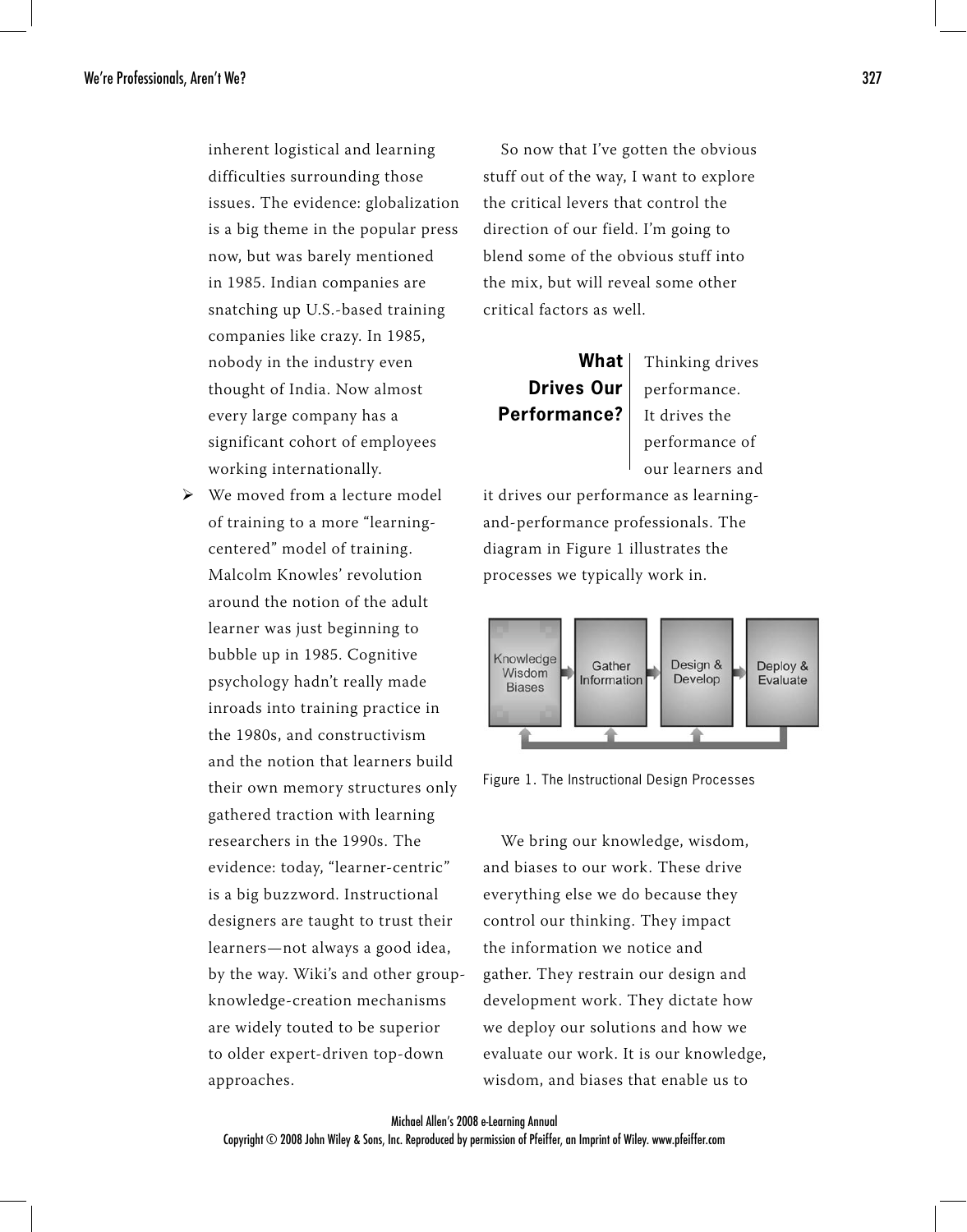inherent logistical and learning difficulties surrounding those issues. The evidence: globalization is a big theme in the popular press now, but was barely mentioned in 1985. Indian companies are snatching up U.S.-based training companies like crazy. In 1985, nobody in the industry even thought of India. Now almost every large company has a significant cohort of employees working internationally.

 $\triangleright$  We moved from a lecture model of training to a more "learningcentered" model of training. Malcolm Knowles' revolution around the notion of the adult learner was just beginning to bubble up in 1985. Cognitive psychology hadn't really made inroads into training practice in the 1980s, and constructivism and the notion that learners build their own memory structures only gathered traction with learning researchers in the 1990s. The evidence: today, "learner-centric" is a big buzzword. Instructional designers are taught to trust their learners—not always a good idea, by the way. Wiki's and other groupknowledge-creation mechanisms are widely touted to be superior to older expert-driven top-down approaches.

So now that I've gotten the obvious stuff out of the way, I want to explore the critical levers that control the direction of our field. I'm going to blend some of the obvious stuff into the mix, but will reveal some other critical factors as well.

**What Drives Our Performance?**

Thinking drives performance. It drives the performance of our learners and

it drives our performance as learningand-performance professionals. The diagram in Figure 1 illustrates the processes we typically work in.





We bring our knowledge, wisdom, and biases to our work. These drive everything else we do because they control our thinking. They impact the information we notice and gather. They restrain our design and development work. They dictate how we deploy our solutions and how we evaluate our work. It is our knowledge, wisdom, and biases that enable us to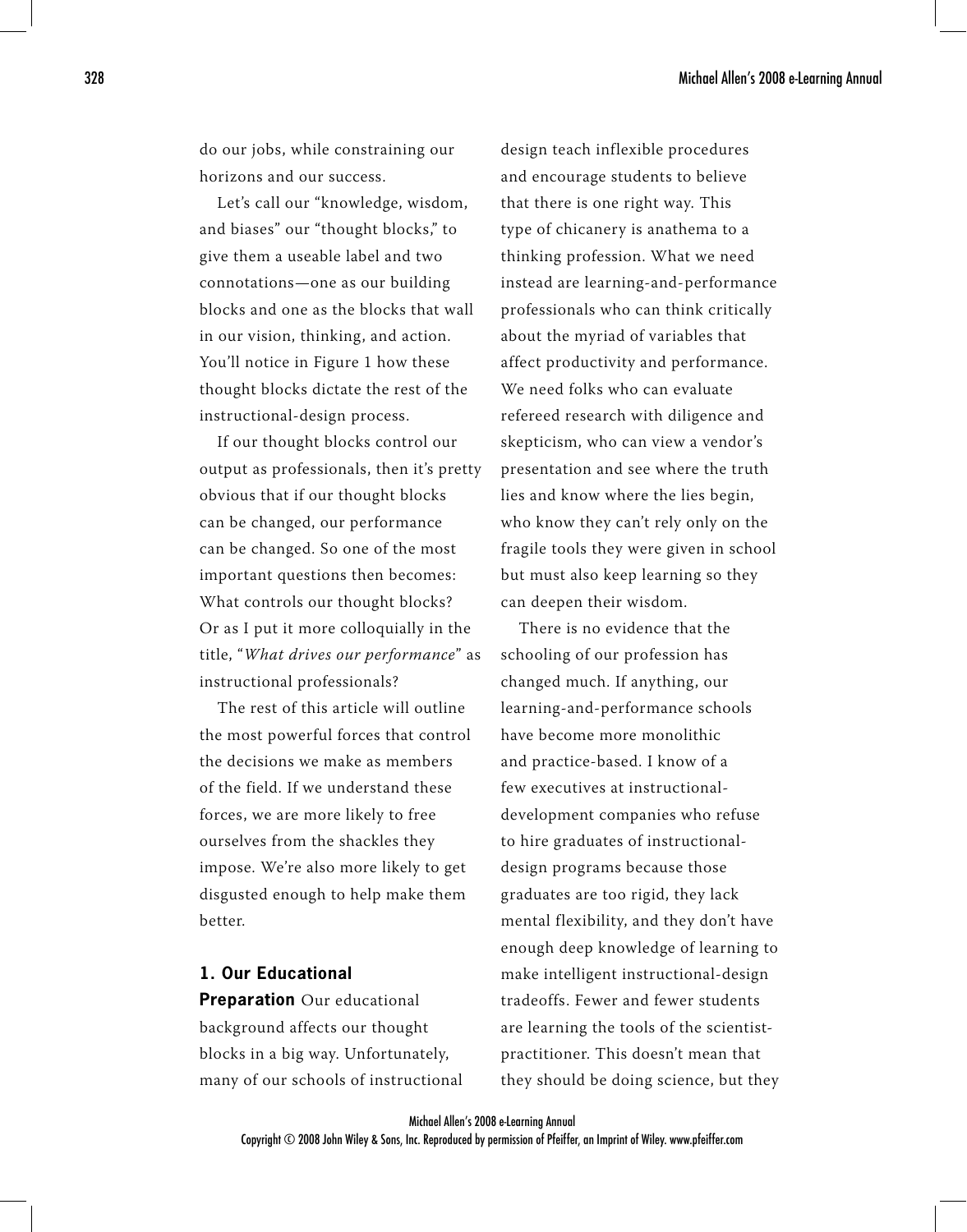do our jobs, while constraining our horizons and our success.

Let's call our "knowledge, wisdom, and biases" our "thought blocks," to give them a useable label and two connotations—one as our building blocks and one as the blocks that wall in our vision, thinking, and action. You'll notice in Figure 1 how these thought blocks dictate the rest of the instructional-design process.

If our thought blocks control our output as professionals, then it's pretty obvious that if our thought blocks can be changed, our performance can be changed. So one of the most important questions then becomes: What controls our thought blocks? Or as I put it more colloquially in the title, "What drives our performance" as instructional professionals?

The rest of this article will outline the most powerful forces that control the decisions we make as members of the field. If we understand these forces, we are more likely to free ourselves from the shackles they impose. We're also more likely to get disgusted enough to help make them better.

### **1. Our Educational**

**Preparation** Our educational background affects our thought blocks in a big way. Unfortunately, many of our schools of instructional design teach inflexible procedures and encourage students to believe that there is one right way. This type of chicanery is anathema to a thinking profession. What we need instead are learning-and-performance professionals who can think critically about the myriad of variables that affect productivity and performance. We need folks who can evaluate refereed research with diligence and skepticism, who can view a vendor's presentation and see where the truth lies and know where the lies begin, who know they can't rely only on the fragile tools they were given in school but must also keep learning so they can deepen their wisdom.

There is no evidence that the schooling of our profession has changed much. If anything, our learning-and-performance schools have become more monolithic and practice-based. I know of a few executives at instructionaldevelopment companies who refuse to hire graduates of instructionaldesign programs because those graduates are too rigid, they lack mental flexibility, and they don't have enough deep knowledge of learning to make intelligent instructional-design tradeoffs. Fewer and fewer students are learning the tools of the scientistpractitioner. This doesn't mean that they should be doing science, but they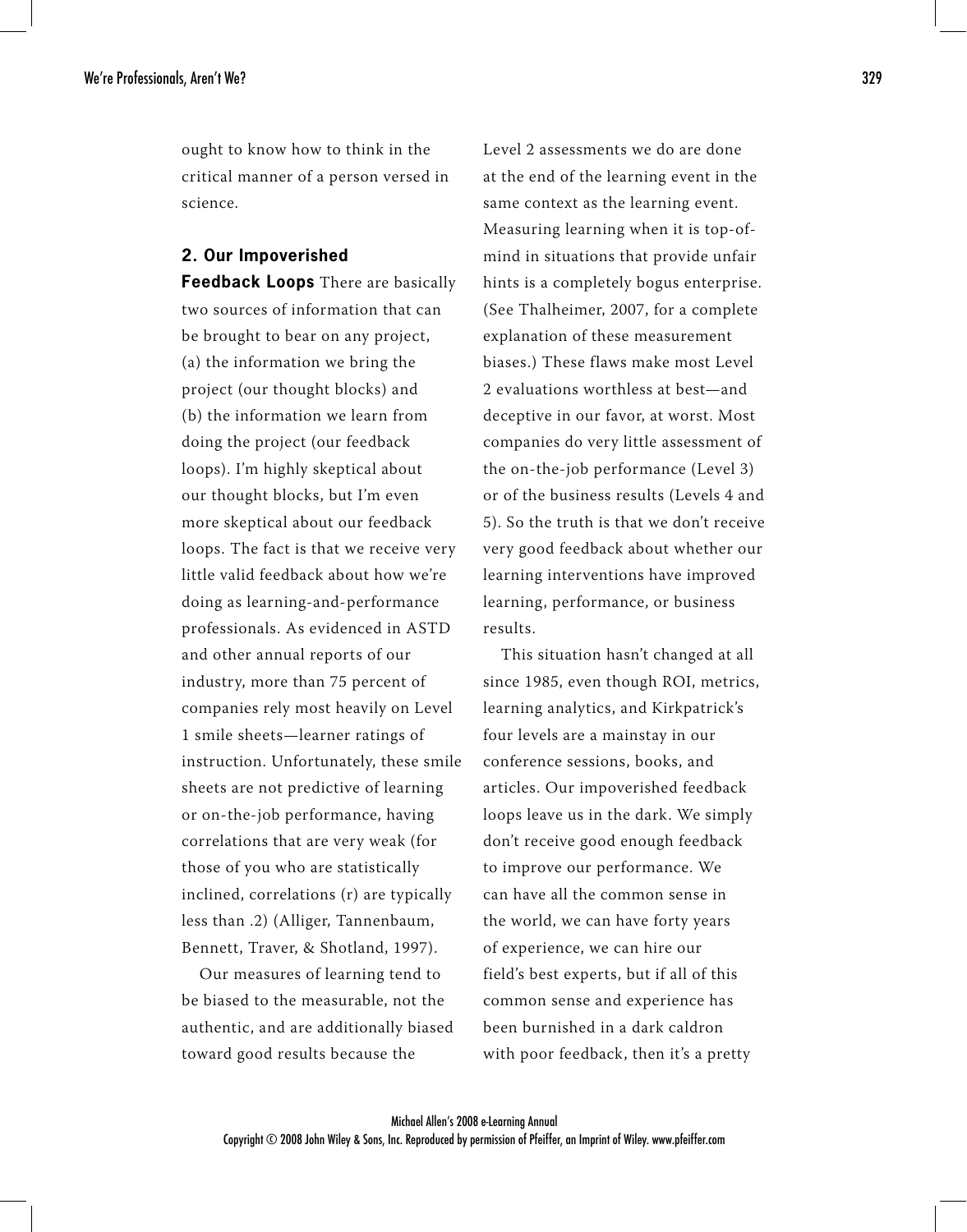ought to know how to think in the critical manner of a person versed in science.

#### **2. Our Impoverished**

**Feedback Loops** There are basically two sources of information that can be brought to bear on any project, (a) the information we bring the project (our thought blocks) and (b) the information we learn from doing the project (our feedback loops). I'm highly skeptical about our thought blocks, but I'm even more skeptical about our feedback loops. The fact is that we receive very little valid feedback about how we're doing as learning-and-performance professionals. As evidenced in ASTD and other annual reports of our industry, more than 75 percent of companies rely most heavily on Level 1 smile sheets—learner ratings of instruction. Unfortunately, these smile sheets are not predictive of learning or on-the-job performance, having correlations that are very weak (for those of you who are statistically inclined, correlations (r) are typically less than .2) (Alliger, Tannenbaum, Bennett, Traver, & Shotland, 1997).

Our measures of learning tend to be biased to the measurable, not the authentic, and are additionally biased toward good results because the

Level 2 assessments we do are done at the end of the learning event in the same context as the learning event. Measuring learning when it is top-ofmind in situations that provide unfair hints is a completely bogus enterprise. (See Thalheimer, 2007, for a complete explanation of these measurement biases.) These flaws make most Level 2 evaluations worthless at best—and deceptive in our favor, at worst. Most companies do very little assessment of the on-the-job performance (Level 3) or of the business results (Levels 4 and 5). So the truth is that we don't receive very good feedback about whether our learning interventions have improved learning, performance, or business results.

This situation hasn't changed at all since 1985, even though ROI, metrics, learning analytics, and Kirkpatrick's four levels are a mainstay in our conference sessions, books, and articles. Our impoverished feedback loops leave us in the dark. We simply don't receive good enough feedback to improve our performance. We can have all the common sense in the world, we can have forty years of experience, we can hire our field's best experts, but if all of this common sense and experience has been burnished in a dark caldron with poor feedback, then it's a pretty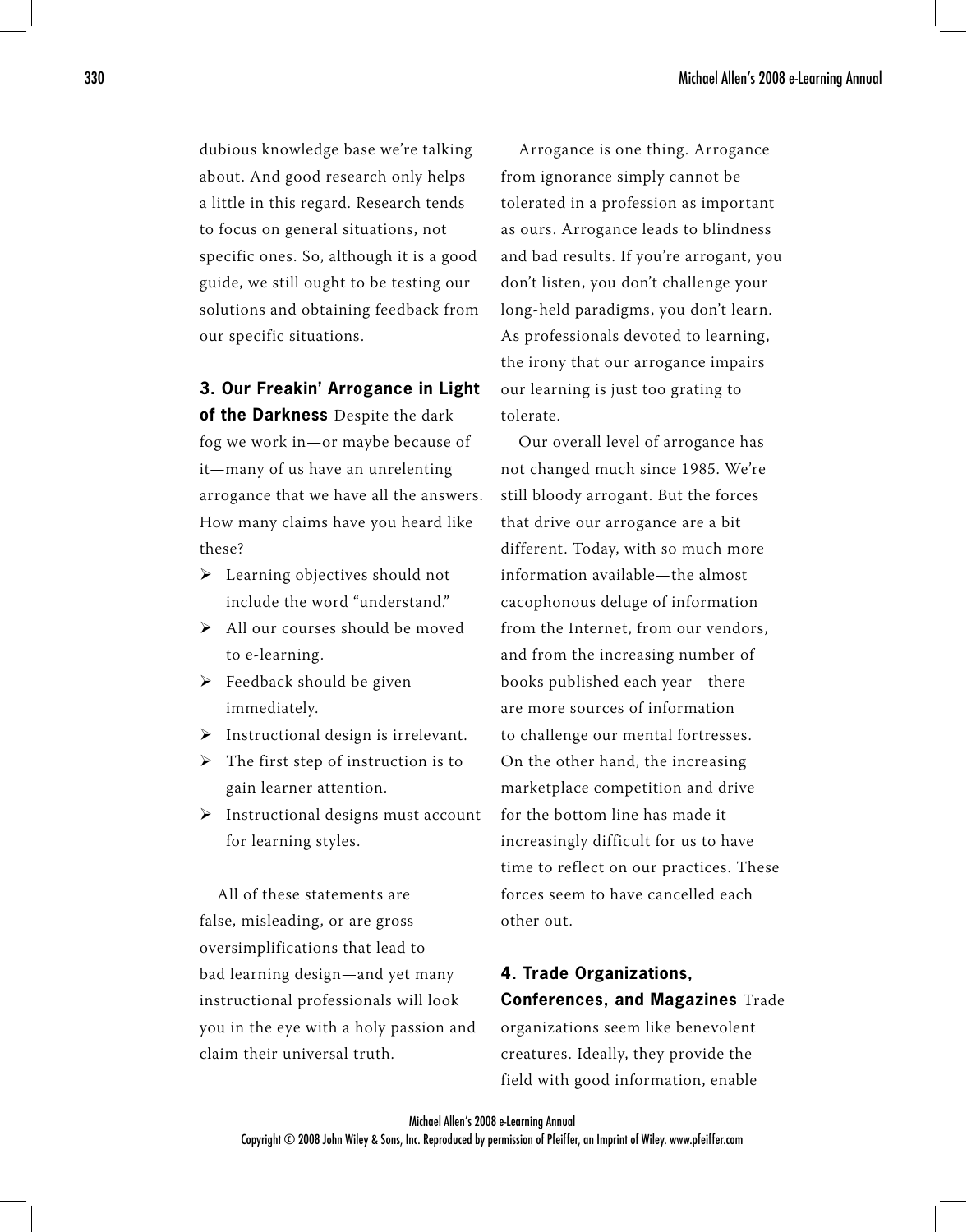dubious knowledge base we're talking about. And good research only helps a little in this regard. Research tends to focus on general situations, not specific ones. So, although it is a good guide, we still ought to be testing our solutions and obtaining feedback from our specific situations.

**3. Our Freakin' Arrogance in Light** 

**of the Darkness** Despite the dark fog we work in—or maybe because of it—many of us have an unrelenting arrogance that we have all the answers. How many claims have you heard like these?

- > Learning objectives should not include the word "understand."
- > All our courses should be moved to e-learning.
- > Feedback should be given immediately.
- $\triangleright$  Instructional design is irrelevant.
- $\triangleright$  The first step of instruction is to gain learner attention.
- $\triangleright$  Instructional designs must account for learning styles.

All of these statements are false, misleading, or are gross oversimplifications that lead to bad learning design—and yet many instructional professionals will look you in the eye with a holy passion and claim their universal truth.

Arrogance is one thing. Arrogance from ignorance simply cannot be tolerated in a profession as important as ours. Arrogance leads to blindness and bad results. If you're arrogant, you don't listen, you don't challenge your long-held paradigms, you don't learn. As professionals devoted to learning, the irony that our arrogance impairs our learning is just too grating to tolerate.

Our overall level of arrogance has not changed much since 1985. We're still bloody arrogant. But the forces that drive our arrogance are a bit different. Today, with so much more information available—the almost cacophonous deluge of information from the Internet, from our vendors, and from the increasing number of books published each year—there are more sources of information to challenge our mental fortresses. On the other hand, the increasing marketplace competition and drive for the bottom line has made it increasingly difficult for us to have time to reflect on our practices. These forces seem to have cancelled each other out.

# **4. Trade Organizations, Conferences, and Magazines** Trade

organizations seem like benevolent creatures. Ideally, they provide the field with good information, enable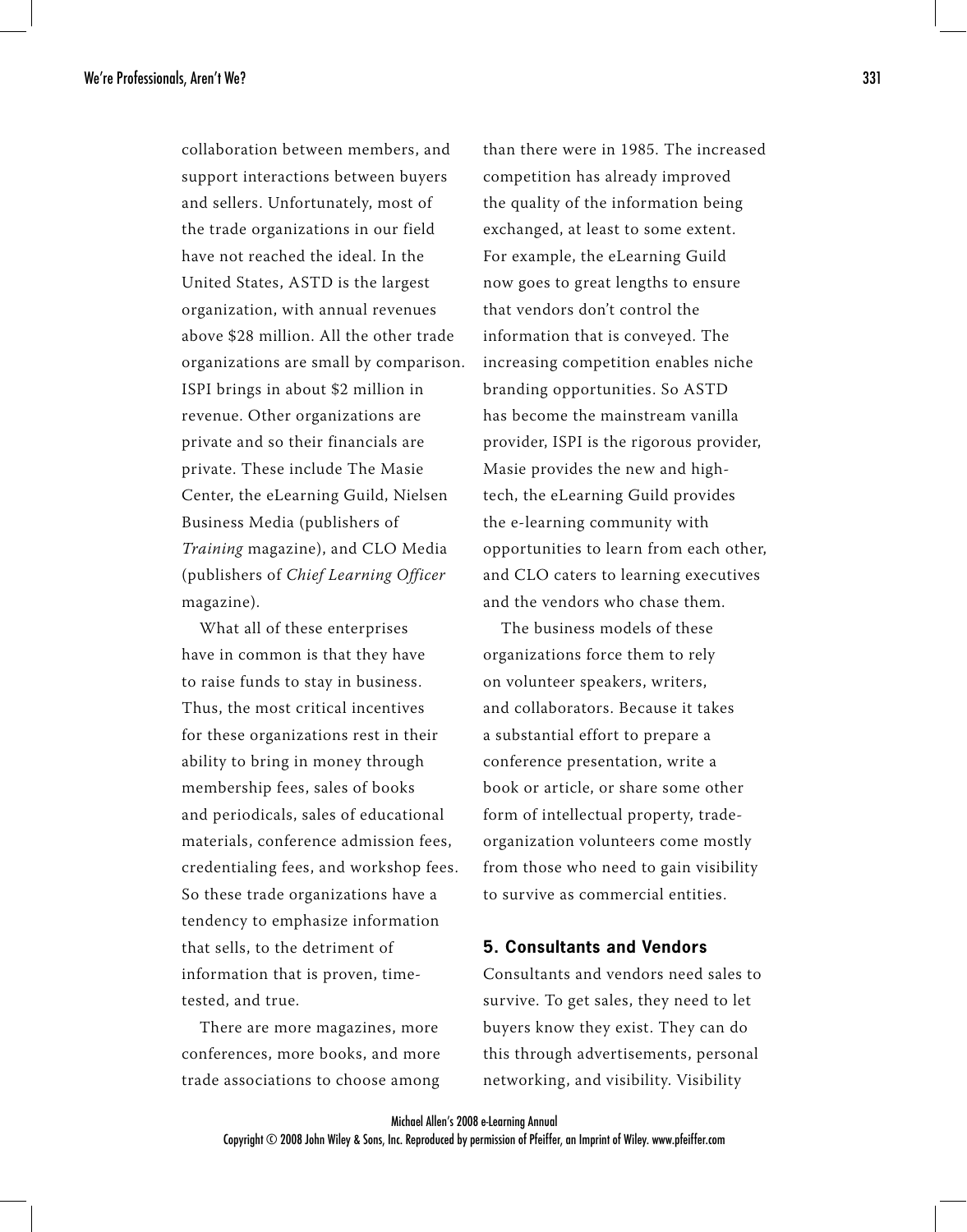collaboration between members, and support interactions between buyers and sellers. Unfortunately, most of the trade organizations in our field have not reached the ideal. In the United States, ASTD is the largest organization, with annual revenues above \$28 million. All the other trade organizations are small by comparison. ISPI brings in about \$2 million in revenue. Other organizations are private and so their financials are private. These include The Masie Center, the eLearning Guild, Nielsen Business Media (publishers of Training magazine), and CLO Media (publishers of Chief Learning Officer magazine).

What all of these enterprises have in common is that they have to raise funds to stay in business. Thus, the most critical incentives for these organizations rest in their ability to bring in money through membership fees, sales of books and periodicals, sales of educational materials, conference admission fees, credentialing fees, and workshop fees. So these trade organizations have a tendency to emphasize information that sells, to the detriment of information that is proven, timetested, and true.

There are more magazines, more conferences, more books, and more trade associations to choose among

than there were in 1985. The increased competition has already improved the quality of the information being exchanged, at least to some extent. For example, the eLearning Guild now goes to great lengths to ensure that vendors don't control the information that is conveyed. The increasing competition enables niche branding opportunities. So ASTD has become the mainstream vanilla provider, ISPI is the rigorous provider, Masie provides the new and hightech, the eLearning Guild provides the e-learning community with opportunities to learn from each other, and CLO caters to learning executives and the vendors who chase them.

The business models of these organizations force them to rely on volunteer speakers, writers, and collaborators. Because it takes a substantial effort to prepare a conference presentation, write a book or article, or share some other form of intellectual property, tradeorganization volunteers come mostly from those who need to gain visibility to survive as commercial entities.

#### **5. Consultants and Vendors**

Consultants and vendors need sales to survive. To get sales, they need to let buyers know they exist. They can do this through advertisements, personal networking, and visibility. Visibility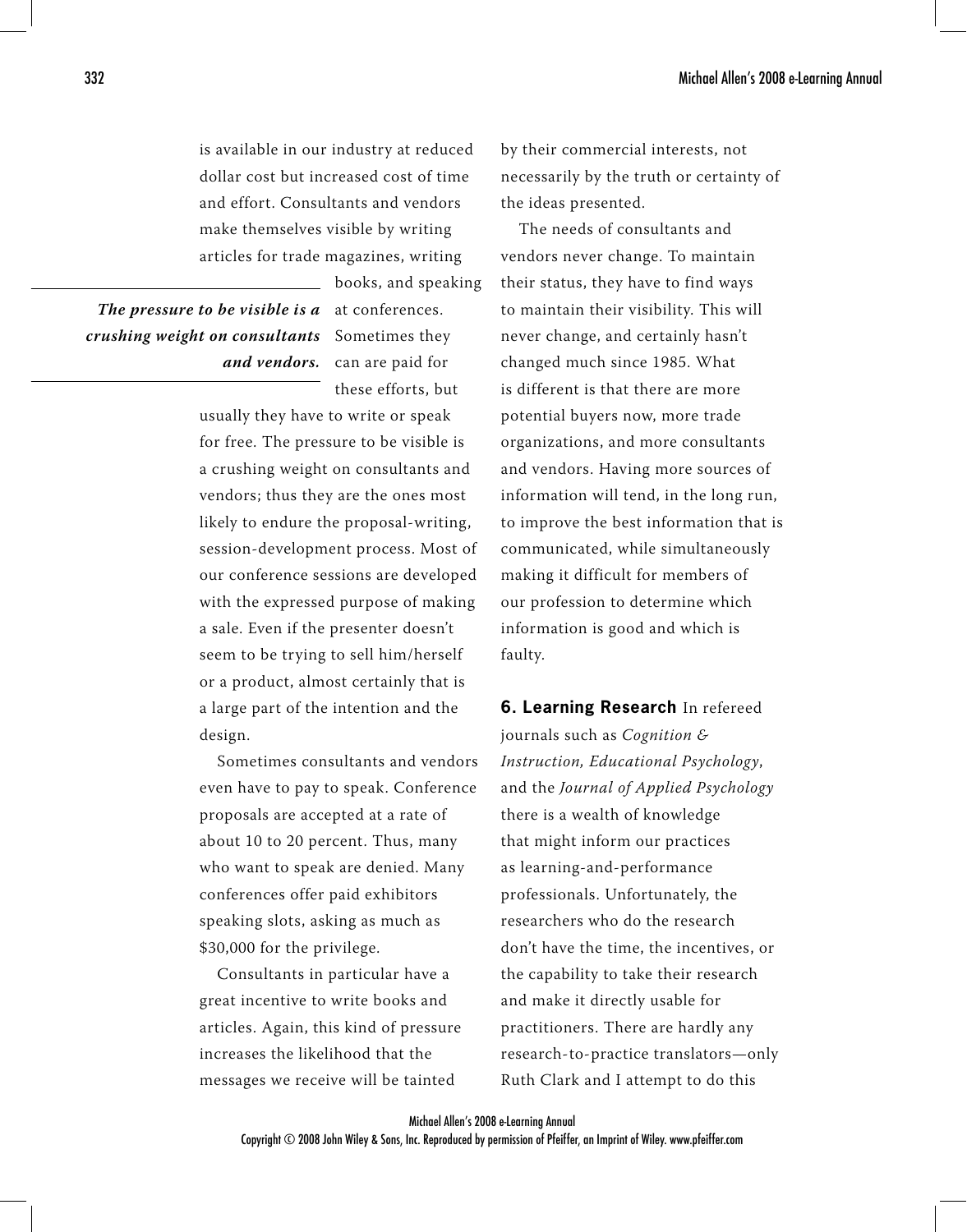is available in our industry at reduced dollar cost but increased cost of time and effort. Consultants and vendors make themselves visible by writing articles for trade magazines, writing

**The pressure to be visible is a** at conferences. *crushing weight on consultants* $\,$  **Sometimes they** 

*and vendors.* can are paid for these efforts, but

books, and speaking

usually they have to write or speak for free. The pressure to be visible is a crushing weight on consultants and vendors; thus they are the ones most likely to endure the proposal-writing, session-development process. Most of our conference sessions are developed with the expressed purpose of making a sale. Even if the presenter doesn't seem to be trying to sell him/herself or a product, almost certainly that is a large part of the intention and the design.

Sometimes consultants and vendors even have to pay to speak. Conference proposals are accepted at a rate of about 10 to 20 percent. Thus, many who want to speak are denied. Many conferences offer paid exhibitors speaking slots, asking as much as \$30,000 for the privilege.

Consultants in particular have a great incentive to write books and articles. Again, this kind of pressure increases the likelihood that the messages we receive will be tainted

by their commercial interests, not necessarily by the truth or certainty of the ideas presented.

The needs of consultants and vendors never change. To maintain their status, they have to find ways to maintain their visibility. This will never change, and certainly hasn't changed much since 1985. What is different is that there are more potential buyers now, more trade organizations, and more consultants and vendors. Having more sources of information will tend, in the long run, to improve the best information that is communicated, while simultaneously making it difficult for members of our profession to determine which information is good and which is faulty.

**6. Learning Research** In refereed journals such as *Cognition* & Instruction, Educational Psychology, and the Journal of Applied Psychology there is a wealth of knowledge that might inform our practices as learning-and-performance professionals. Unfortunately, the researchers who do the research don't have the time, the incentives, or the capability to take their research and make it directly usable for practitioners. There are hardly any research-to-practice translators—only Ruth Clark and I attempt to do this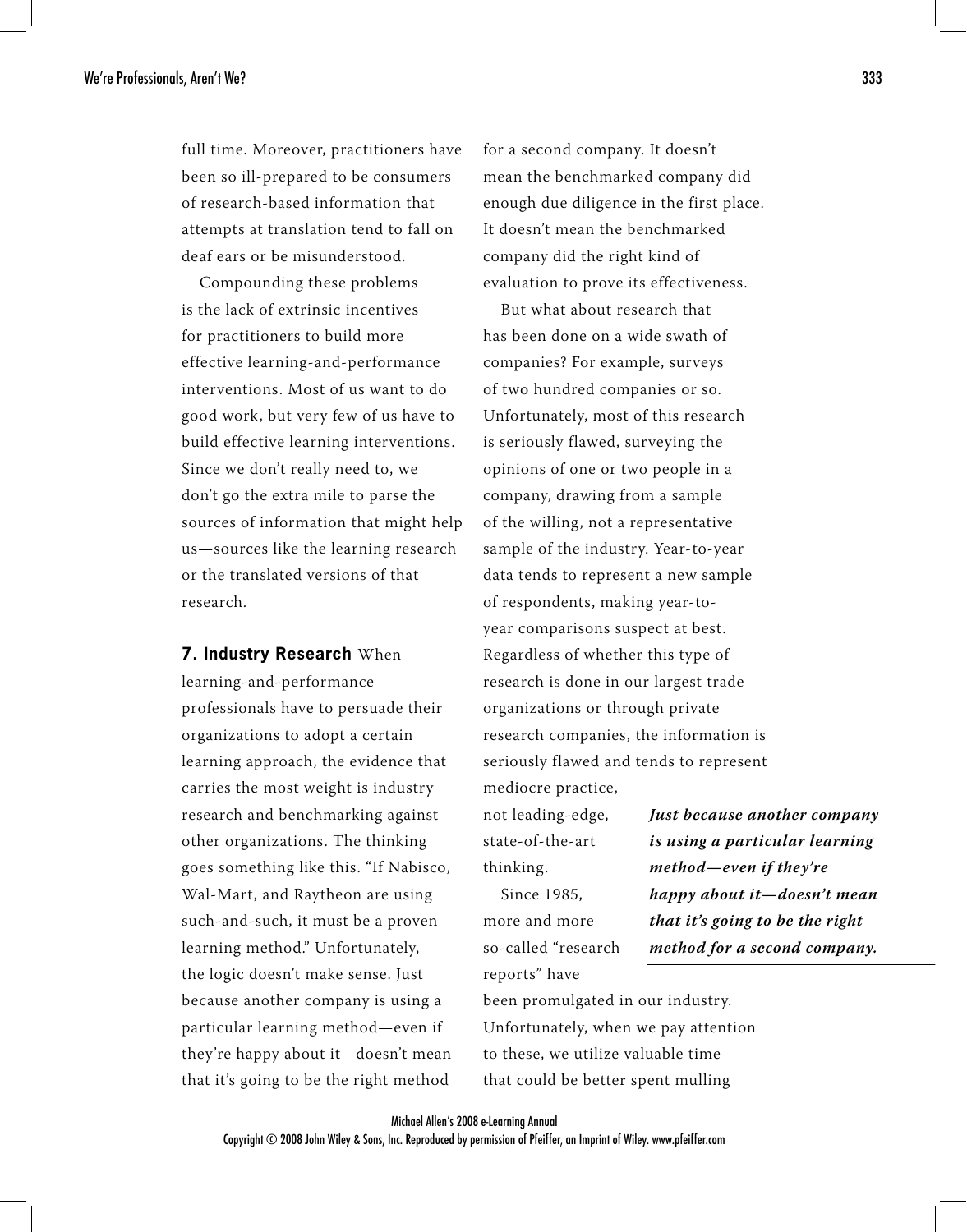full time. Moreover, practitioners have been so ill-prepared to be consumers of research-based information that attempts at translation tend to fall on deaf ears or be misunderstood.

Compounding these problems is the lack of extrinsic incentives for practitioners to build more effective learning-and-performance interventions. Most of us want to do good work, but very few of us have to build effective learning interventions. Since we don't really need to, we don't go the extra mile to parse the sources of information that might help us—sources like the learning research or the translated versions of that research.

#### **7. Industry Research** When

learning-and-performance professionals have to persuade their organizations to adopt a certain learning approach, the evidence that carries the most weight is industry research and benchmarking against other organizations. The thinking goes something like this. "If Nabisco, Wal-Mart, and Raytheon are using such-and-such, it must be a proven learning method." Unfortunately, the logic doesn't make sense. Just because another company is using a particular learning method—even if they're happy about it—doesn't mean that it's going to be the right method

for a second company. It doesn't mean the benchmarked company did enough due diligence in the first place. It doesn't mean the benchmarked company did the right kind of evaluation to prove its effectiveness.

But what about research that has been done on a wide swath of companies? For example, surveys of two hundred companies or so. Unfortunately, most of this research is seriously flawed, surveying the opinions of one or two people in a company, drawing from a sample of the willing, not a representative sample of the industry. Year-to-year data tends to represent a new sample of respondents, making year-toyear comparisons suspect at best. Regardless of whether this type of research is done in our largest trade organizations or through private research companies, the information is seriously flawed and tends to represent

not leading-edge, state-of-the-art thinking.

mediocre practice,

Since 1985, more and more so-called "research reports" have

**Just because another company is using a particular learning method—even if they're happy about it—doesn't mean that it's going to be the right method for a second company.**

been promulgated in our industry. Unfortunately, when we pay attention to these, we utilize valuable time that could be better spent mulling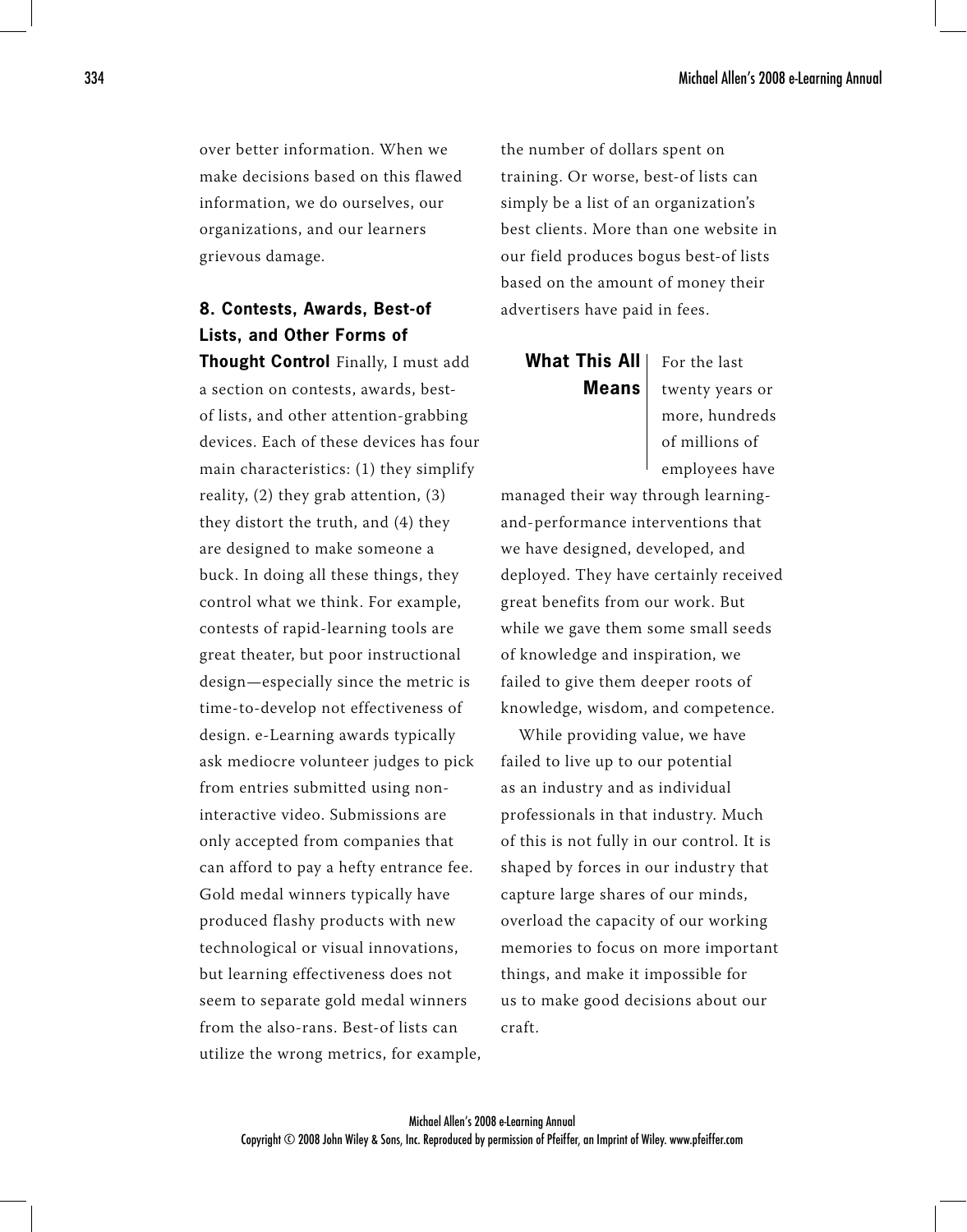over better information. When we make decisions based on this flawed information, we do ourselves, our organizations, and our learners grievous damage.

## **8. Contests, Awards, Best-of Lists, and Other Forms of**

**Thought Control** Finally, I must add a section on contests, awards, bestof lists, and other attention-grabbing devices. Each of these devices has four main characteristics: (1) they simplify reality, (2) they grab attention, (3) they distort the truth, and (4) they are designed to make someone a buck. In doing all these things, they control what we think. For example, contests of rapid-learning tools are great theater, but poor instructional design—especially since the metric is time-to-develop not effectiveness of design. e-Learning awards typically ask mediocre volunteer judges to pick from entries submitted using noninteractive video. Submissions are only accepted from companies that can afford to pay a hefty entrance fee. Gold medal winners typically have produced flashy products with new technological or visual innovations, but learning effectiveness does not seem to separate gold medal winners from the also-rans. Best-of lists can utilize the wrong metrics, for example,

the number of dollars spent on training. Or worse, best-of lists can simply be a list of an organization's best clients. More than one website in our field produces bogus best-of lists based on the amount of money their advertisers have paid in fees.

# **What This All Means**

For the last twenty years or more, hundreds of millions of employees have

managed their way through learningand-performance interventions that we have designed, developed, and deployed. They have certainly received great benefits from our work. But while we gave them some small seeds of knowledge and inspiration, we failed to give them deeper roots of knowledge, wisdom, and competence.

While providing value, we have failed to live up to our potential as an industry and as individual professionals in that industry. Much of this is not fully in our control. It is shaped by forces in our industry that capture large shares of our minds, overload the capacity of our working memories to focus on more important things, and make it impossible for us to make good decisions about our craft.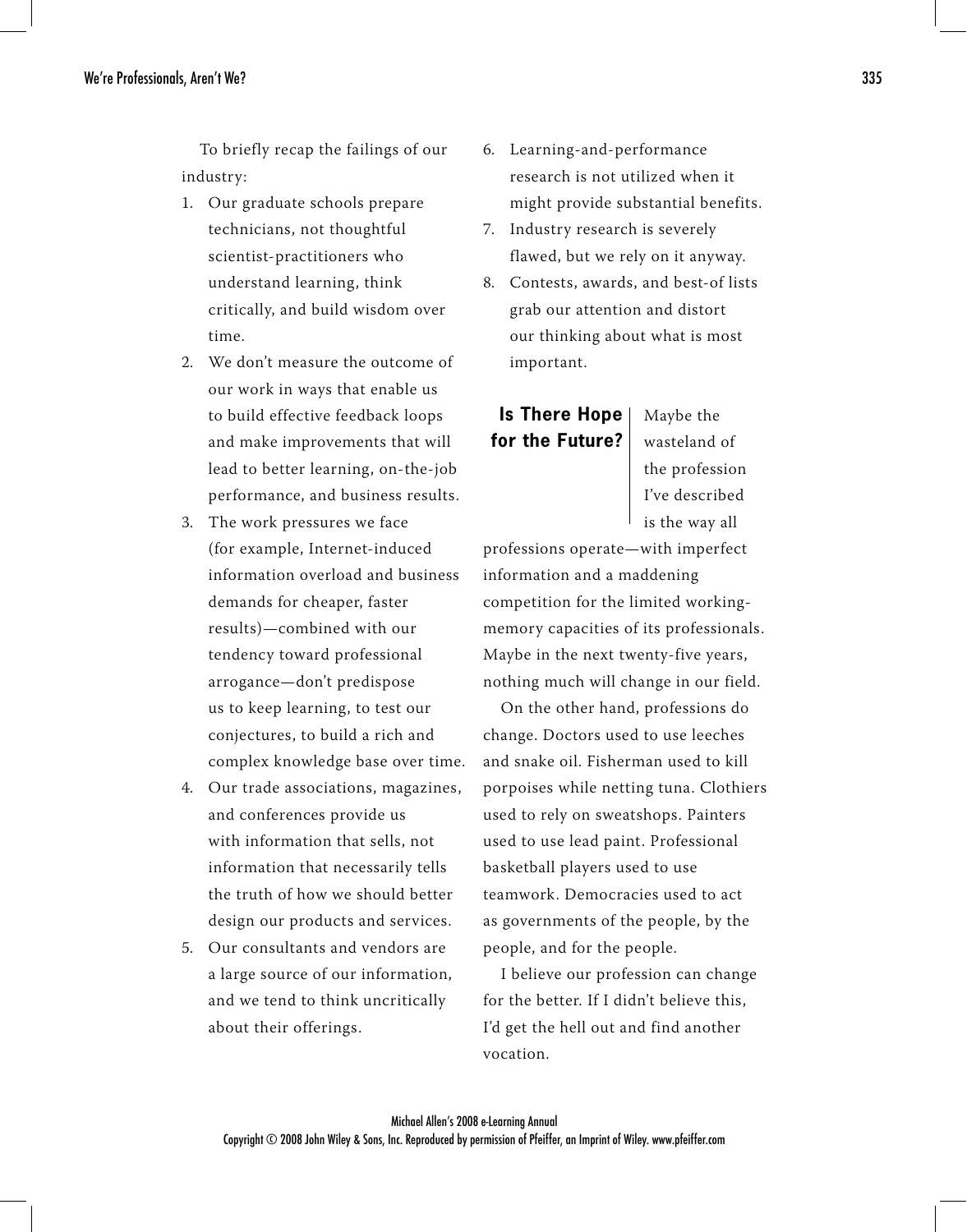To briefly recap the failings of our industry:

- Our graduate schools prepare 1. technicians, not thoughtful scientist-practitioners who understand learning, think critically, and build wisdom over time.
- We don't measure the outcome of 2. our work in ways that enable us to build effective feedback loops and make improvements that will lead to better learning, on-the-job performance, and business results.
- 3. The work pressures we face (for example, Internet-induced information overload and business demands for cheaper, faster results)—combined with our tendency toward professional arrogance—don't predispose us to keep learning, to test our conjectures, to build a rich and complex knowledge base over time.
- Our trade associations, magazines, 4. and conferences provide us with information that sells, not information that necessarily tells the truth of how we should better design our products and services.
- Our consultants and vendors are 5. a large source of our information, and we tend to think uncritically about their offerings.
- 6. Learning-and-performance research is not utilized when it might provide substantial benefits.
- 7. Industry research is severely flawed, but we rely on it anyway.
- Contests, awards, and best-of lists 8. grab our attention and distort our thinking about what is most important.

# **Is There Hope for the Future?**

wasteland of the profession I've described is the way all

Maybe the

professions operate—with imperfect information and a maddening competition for the limited workingmemory capacities of its professionals. Maybe in the next twenty-five years, nothing much will change in our field.

On the other hand, professions do change. Doctors used to use leeches and snake oil. Fisherman used to kill porpoises while netting tuna. Clothiers used to rely on sweatshops. Painters used to use lead paint. Professional basketball players used to use teamwork. Democracies used to act as governments of the people, by the people, and for the people.

I believe our profession can change for the better. If I didn't believe this, I'd get the hell out and find another vocation.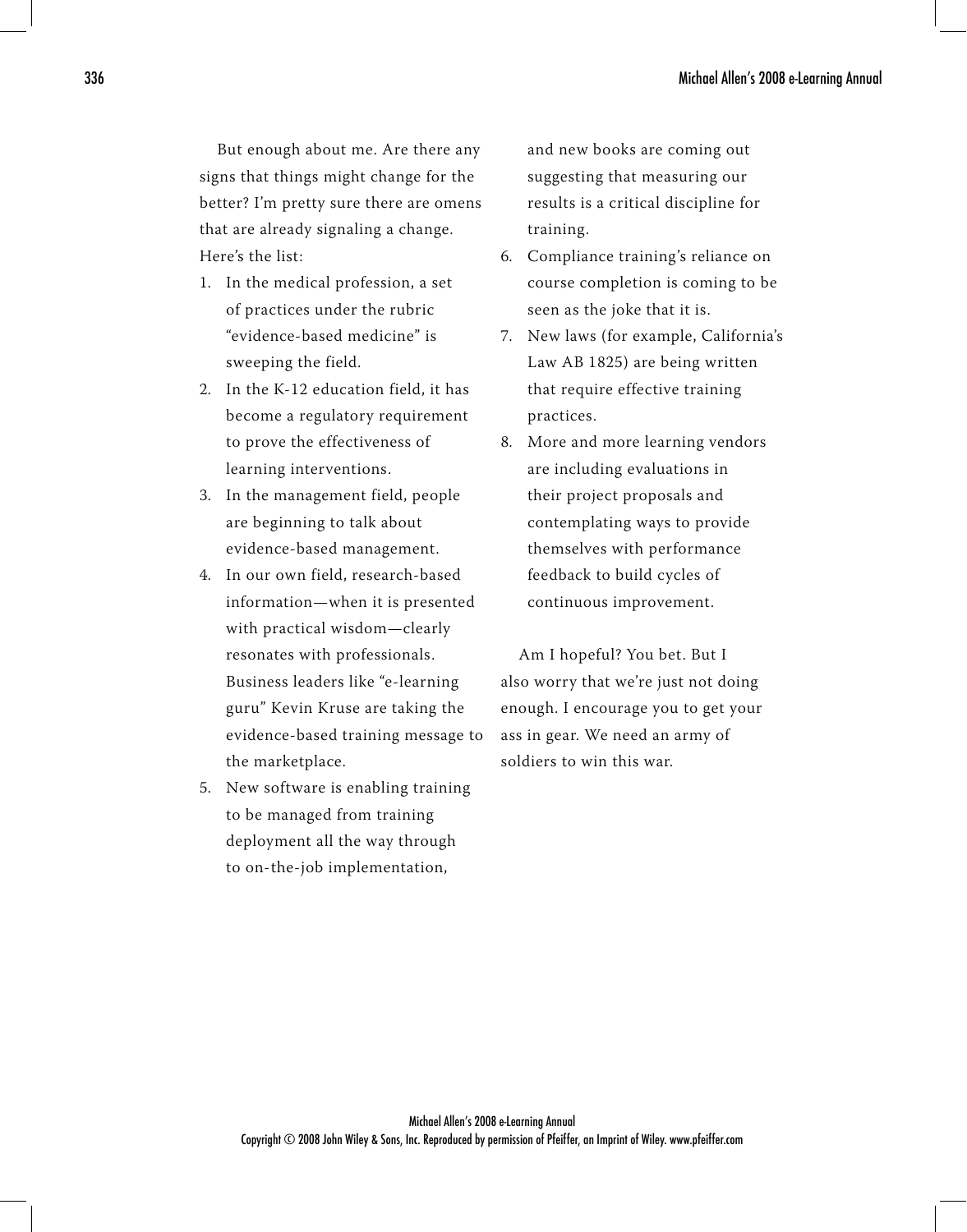But enough about me. Are there any signs that things might change for the better? I'm pretty sure there are omens that are already signaling a change. Here's the list:

- In the medical profession, a set 1. of practices under the rubric "evidence-based medicine" is sweeping the field.
- 2. In the K-12 education field, it has become a regulatory requirement to prove the effectiveness of learning interventions.
- In the management field, people 3. are beginning to talk about evidence-based management.
- 4. In our own field, research-based information—when it is presented with practical wisdom—clearly resonates with professionals. Business leaders like "e-learning guru" Kevin Kruse are taking the evidence-based training message to the marketplace.
- New software is enabling training 5. to be managed from training deployment all the way through to on-the-job implementation,

and new books are coming out suggesting that measuring our results is a critical discipline for training.

- 6. Compliance training's reliance on course completion is coming to be seen as the joke that it is.
- 7. New laws (for example, California's ) Law AB 1825) are being written that require effective training practices.
- More and more learning vendors 8.are including evaluations in their project proposals and contemplating ways to provide themselves with performance feedback to build cycles of continuous improvement.

Am I hopeful? You bet. But I also worry that we're just not doing enough. I encourage you to get your ass in gear. We need an army of soldiers to win this war.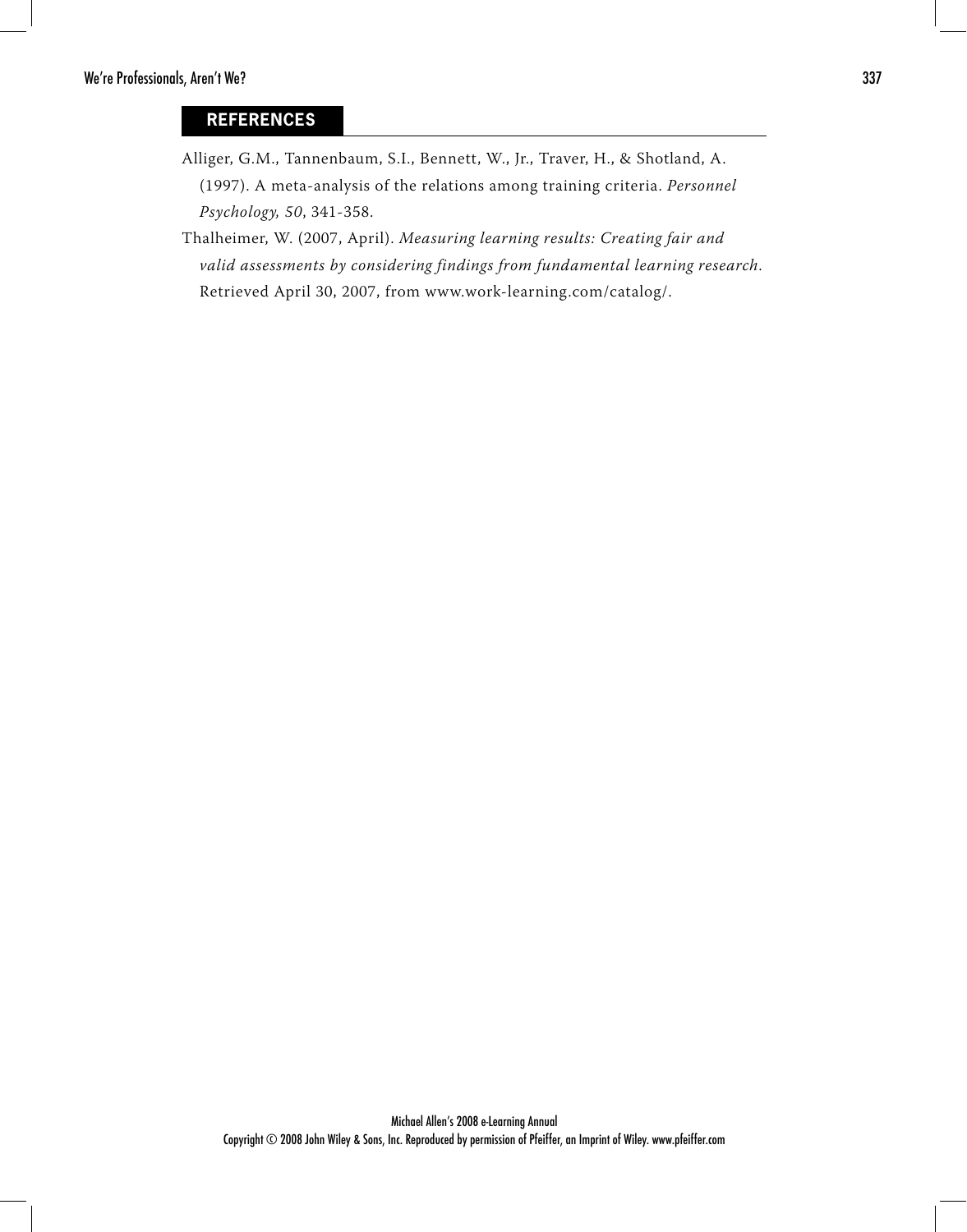#### **REFERENCES**

- Alliger, G.M., Tannenbaum, S.I., Bennett, W., Jr., Traver, H., & Shotland, A. (1997). A meta-analysis of the relations among training criteria. Personnel Psychology, 50, 341-358.
- Thalheimer, W. (2007, April). Measuring learning results: Creating fair and valid assessments by considering findings from fundamental learning research. Retrieved April 30, 2007, from www.work-learning.com/catalog/.